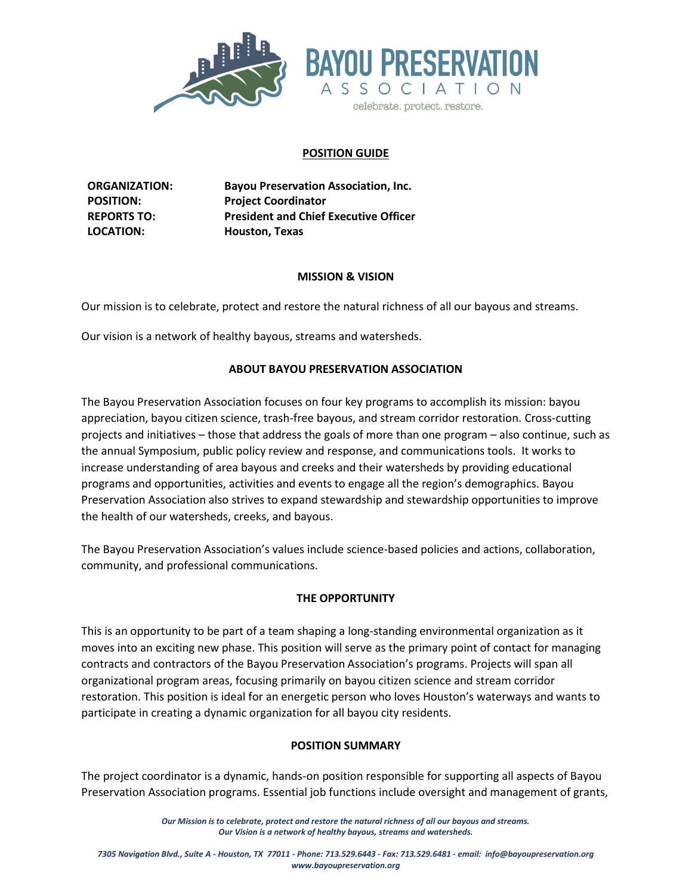

## **POSITION GUIDE**

**ORGANIZATION: Bayou Preservation Association, Inc. POSITION: Project Coordinator REPORTS TO: President and Chief Executive Officer LOCATION: Houston, Texas**

### **MISSION & VISION**

Our mission is to celebrate, protect and restore the natural richness of all our bayous and streams.

Our vision is a network of healthy bayous, streams and watersheds.

## **ABOUT BAYOU PRESERVATION ASSOCIATION**

The Bayou Preservation Association focuses on four key programs to accomplish its mission: bayou appreciation, bayou citizen science, trash-free bayous, and stream corridor restoration. Cross-cutting projects and initiatives – those that address the goals of more than one program – also continue, such as the annual Symposium, public policy review and response, and communications tools. It works to increase understanding of area bayous and creeks and their watersheds by providing educational programs and opportunities, activities and events to engage all the region's demographics. Bayou Preservation Association also strives to expand stewardship and stewardship opportunities to improve the health of our watersheds, creeks, and bayous.

The Bayou Preservation Association's values include science-based policies and actions, collaboration, community, and professional communications.

## **THE OPPORTUNITY**

This is an opportunity to be part of a team shaping a long-standing environmental organization as it moves into an exciting new phase. This position will serve as the primary point of contact for managing contracts and contractors of the Bayou Preservation Association's programs. Projects will span all organizational program areas, focusing primarily on bayou citizen science and stream corridor restoration. This position is ideal for an energetic person who loves Houston's waterways and wants to participate in creating a dynamic organization for all bayou city residents.

## **POSITION SUMMARY**

The project coordinator is a dynamic, hands-on position responsible for supporting all aspects of Bayou Preservation Association programs. Essential job functions include oversight and management of grants,

> *Our Mission is to celebrate, protect and restore the natural richness of all our bayous and streams. Our Vision is a network of healthy bayous, streams and watersheds.*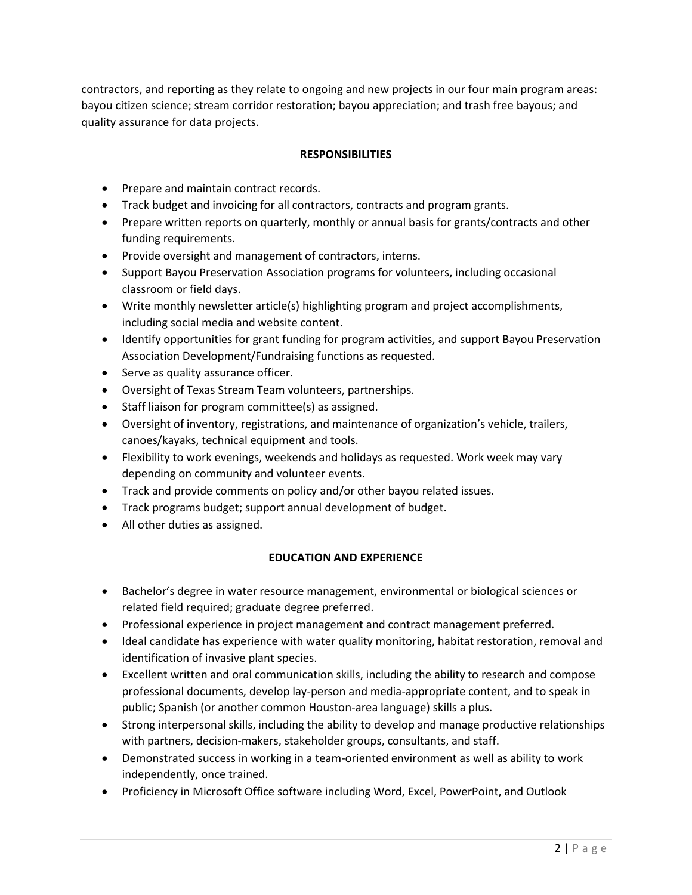contractors, and reporting as they relate to ongoing and new projects in our four main program areas: bayou citizen science; stream corridor restoration; bayou appreciation; and trash free bayous; and quality assurance for data projects.

# **RESPONSIBILITIES**

- Prepare and maintain contract records.
- Track budget and invoicing for all contractors, contracts and program grants.
- Prepare written reports on quarterly, monthly or annual basis for grants/contracts and other funding requirements.
- Provide oversight and management of contractors, interns.
- Support Bayou Preservation Association programs for volunteers, including occasional classroom or field days.
- Write monthly newsletter article(s) highlighting program and project accomplishments, including social media and website content.
- Identify opportunities for grant funding for program activities, and support Bayou Preservation Association Development/Fundraising functions as requested.
- Serve as quality assurance officer.
- Oversight of Texas Stream Team volunteers, partnerships.
- Staff liaison for program committee(s) as assigned.
- Oversight of inventory, registrations, and maintenance of organization's vehicle, trailers, canoes/kayaks, technical equipment and tools.
- Flexibility to work evenings, weekends and holidays as requested. Work week may vary depending on community and volunteer events.
- Track and provide comments on policy and/or other bayou related issues.
- Track programs budget; support annual development of budget.
- All other duties as assigned.

## **EDUCATION AND EXPERIENCE**

- Bachelor's degree in water resource management, environmental or biological sciences or related field required; graduate degree preferred.
- Professional experience in project management and contract management preferred.
- Ideal candidate has experience with water quality monitoring, habitat restoration, removal and identification of invasive plant species.
- Excellent written and oral communication skills, including the ability to research and compose professional documents, develop lay-person and media-appropriate content, and to speak in public; Spanish (or another common Houston-area language) skills a plus.
- Strong interpersonal skills, including the ability to develop and manage productive relationships with partners, decision-makers, stakeholder groups, consultants, and staff.
- Demonstrated success in working in a team-oriented environment as well as ability to work independently, once trained.
- Proficiency in Microsoft Office software including Word, Excel, PowerPoint, and Outlook